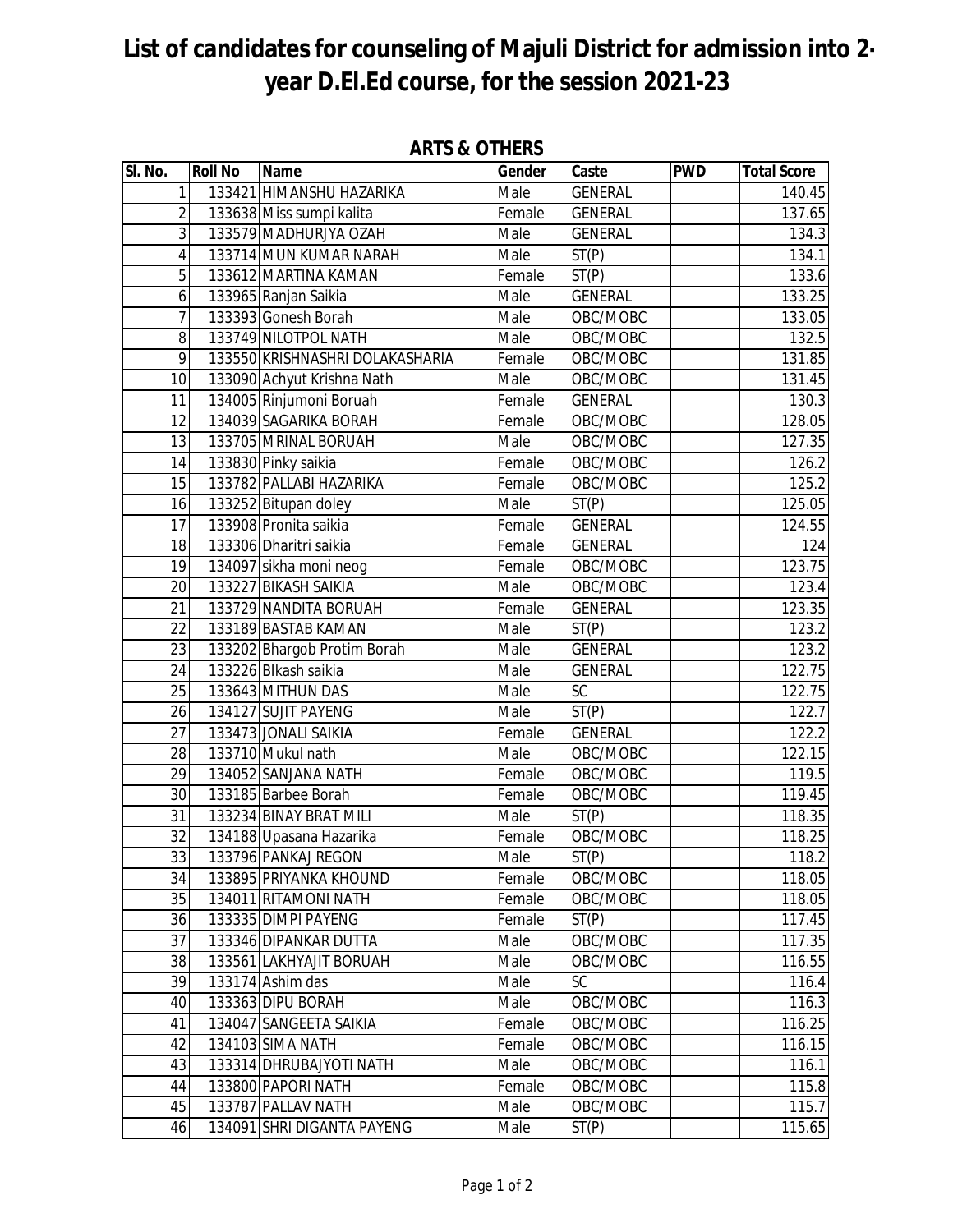## **List of candidates for counseling of Majuli District for admission into 2 year D.El.Ed course, for the session 2021-23**

| $\overline{\mathsf{SI}}$ . No. | <b>Roll No</b> | Name                            | Gender | Caste              | <b>PWD</b> | <b>Total Score</b> |
|--------------------------------|----------------|---------------------------------|--------|--------------------|------------|--------------------|
| $\mathbf{1}$                   |                | 133421 HIMANSHU HAZARIKA        | Male   | <b>GENERAL</b>     |            | 140.45             |
| $\overline{2}$                 |                | 133638 Miss sumpi kalita        | Female | <b>GENERAL</b>     |            | 137.65             |
| $\overline{3}$                 |                | 133579 MADHURJYA OZAH           | Male   | <b>GENERAL</b>     |            | 134.3              |
| 4                              |                | 133714 MUN KUMAR NARAH          | Male   | ST(P)              |            | 134.1              |
| $\overline{5}$                 |                | 133612 MARTINA KAMAN            | Female | ST(P)              |            | 133.6              |
| 6                              |                | 133965 Ranjan Saikia            | Male   | <b>GENERAL</b>     |            | 133.25             |
| $\overline{7}$                 |                | 133393 Gonesh Borah             | Male   | OBC/MOBC           |            | 133.05             |
| 8                              |                | 133749 NILOTPOL NATH            | Male   | OBC/MOBC           |            | 132.5              |
| 9                              |                | 133550 KRISHNASHRI DOLAKASHARIA | Female | OBC/MOBC           |            | 131.85             |
| $\overline{10}$                |                | 133090 Achyut Krishna Nath      | Male   | OBC/MOBC           |            | 131.45             |
| 11                             |                | 134005 Rinjumoni Boruah         | Female | <b>GENERAL</b>     |            | 130.3              |
| 12                             |                | 134039 SAGARIKA BORAH           | Female | OBC/MOBC           |            | 128.05             |
| 13                             |                | 133705 MRINAL BORUAH            | Male   | OBC/MOBC           |            | 127.35             |
| 14                             |                | 133830 Pinky saikia             | Female | OBC/MOBC           |            | 126.2              |
| 15                             |                | 133782 PALLABI HAZARIKA         | Female | OBC/MOBC           |            | 125.2              |
| 16                             |                | 133252 Bitupan doley            | Male   | ST(P)              |            | 125.05             |
| 17                             |                | 133908 Pronita saikia           | Female | <b>GENERAL</b>     |            | 124.55             |
| 18                             |                | 133306 Dharitri saikia          | Female | <b>GENERAL</b>     |            | 124                |
| 19                             |                | 134097 sikha moni neog          | Female | OBC/MOBC           |            | 123.75             |
| 20                             |                | 133227 BIKASH SAIKIA            | Male   | OBC/MOBC           |            | 123.4              |
| 21                             |                | 133729 NANDITA BORUAH           | Female | <b>GENERAL</b>     |            | 123.35             |
| 22                             |                | 133189 BASTAB KAMAN             | Male   | ST(P)              |            | 123.2              |
| $\overline{23}$                |                | 133202 Bhargob Protim Borah     | Male   | <b>GENERAL</b>     |            | 123.2              |
| 24                             |                | 133226 Blkash saikia            | Male   | <b>GENERAL</b>     |            | 122.75             |
| 25                             |                | 133643 MITHUN DAS               | Male   | <b>SC</b>          |            | 122.75             |
| 26                             |                | 134127 SUJIT PAYENG             | Male   | $\overline{ST(P)}$ |            | 122.7              |
| $\overline{27}$                |                | 133473 JONALI SAIKIA            | Female | <b>GENERAL</b>     |            | 122.2              |
| 28                             |                | 133710 Mukul nath               | Male   | OBC/MOBC           |            | 122.15             |
| 29                             |                | 134052 SANJANA NATH             | Female | OBC/MOBC           |            | 119.5              |
| 30                             |                | 133185 Barbee Borah             | Female | OBC/MOBC           |            | 119.45             |
| 31                             |                | 133234 BINAY BRAT MILI          | Male   | $\overline{ST}(P)$ |            | 118.35             |
| $\overline{32}$                |                | 134188 Upasana Hazarika         | Female | OBC/MOBC           |            | 118.25             |
| 33                             |                | 133796 PANKAJ REGON             | Male   | ST(P)              |            | 118.2              |
| 34                             |                | 133895 PRIYANKA KHOUND          | Female | OBC/MOBC           |            | 118.05             |
| 35                             |                | 134011 RITAMONI NATH            | Female | OBC/MOBC           |            | 118.05             |
| 36                             |                | 133335 DIMPI PAYENG             | Female | ST(P)              |            | 117.45             |
| 37                             |                | 133346 DIPANKAR DUTTA           | Male   | OBC/MOBC           |            | 117.35             |
| 38                             |                | 133561 LAKHYAJIT BORUAH         | Male   | OBC/MOBC           |            | 116.55             |
| 39                             |                | 133174 Ashim das                | Male   | <b>SC</b>          |            | 116.4              |
| 40                             |                | 133363 DIPU BORAH               | Male   | OBC/MOBC           |            | 116.3              |
| 41                             |                | 134047 SANGEETA SAIKIA          | Female | OBC/MOBC           |            | 116.25             |
| 42                             |                | 134103 SIMA NATH                | Female | OBC/MOBC           |            | 116.15             |
| 43                             |                | 133314 DHRUBAJYOTI NATH         | Male   | OBC/MOBC           |            | 116.1              |
| 44                             |                | 133800 PAPORI NATH              | Female | OBC/MOBC           |            | 115.8              |
| 45                             |                | 133787 PALLAV NATH              | Male   | OBC/MOBC           |            | 115.7              |
| 46                             |                | 134091 SHRI DIGANTA PAYENG      | Male   | ST(P)              |            | 115.65             |

## **ARTS & OTHERS**